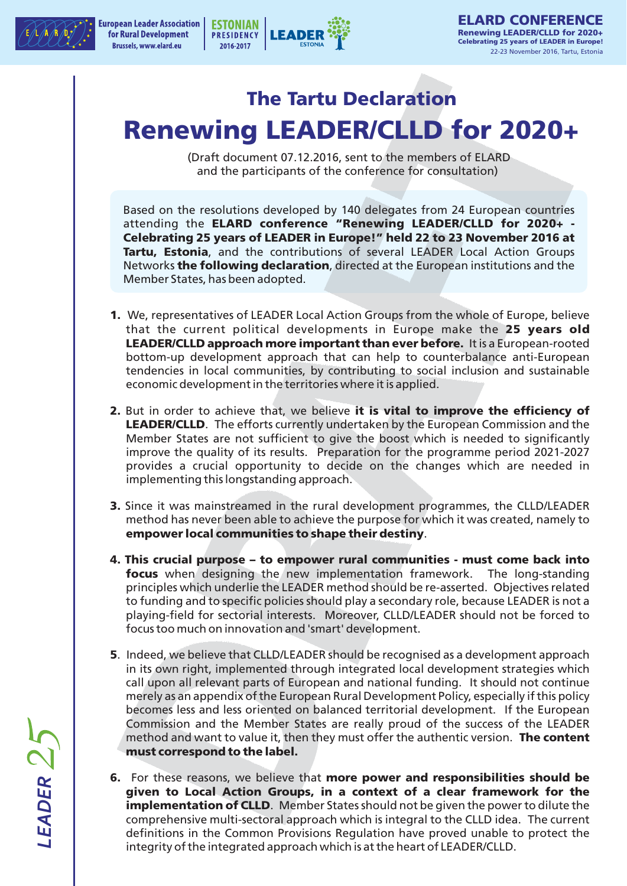



## **The Tartu Declaration Renewing LEADER/CLLD for 2020+**

(Draft document 07.12.2016, sent to the members of ELARD and the participants of the conference for consultation)

Based on the resolutions developed by 140 delegates from 24 European countries attending the **ELARD conference "Renewing LEADER/CLLD for 2020+ - Celebrating 25 years of LEADER in Europe!" held 22 to 23 November 2016 at Tartu, Estonia**, and the contributions of several LEADER Local Action Groups Networks **the following declaration**, directed at the European institutions and the Member States, has been adopted.

- **1.** We, representatives of LEADER Local Action Groups from the whole of Europe, believe that the current political developments in Europe make the **25 years old LEADER/CLLD approach more important than ever before.** It is a European-rooted bottom-up development approach that can help to counterbalance anti-European tendencies in local communities, by contributing to social inclusion and sustainable economic development in the territories where it is applied.
- **2.** But in order to achieve that, we believe **it is vital to improve the efficiency of LEADER/CLLD**. The efforts currently undertaken by the European Commission and the Member States are not sufficient to give the boost which is needed to significantly improve the quality of its results. Preparation for the programme period 2021-2027 provides a crucial opportunity to decide on the changes which are needed in implementing this longstanding approach.
- **3.** Since it was mainstreamed in the rural development programmes, the CLLD/LEADER method has never been able to achieve the purpose for which it was created, namely to **empower local communities to shape their destiny**.
- **4. This crucial purpose to empower rural communities must come back into focus** when designing the new implementation framework. The long-standing principles which underlie the LEADER method should be re-asserted. Objectives related to funding and to specific policies should play a secondary role, because LEADER is not a playing-field for sectorial interests. Moreover, CLLD/LEADER should not be forced to focus too much on innovation and 'smart' development.
- **5**. Indeed, we believe that CLLD/LEADER should be recognised as a development approach in its own right, implemented through integrated local development strategies which call upon all relevant parts of European and national funding. It should not continue merely as an appendix of the European Rural Development Policy, especially if this policy becomes less and less oriented on balanced territorial development. If the European Commission and the Member States are really proud of the success of the LEADER method and want to value it, then they must offer the authentic version. **The content must correspond to the label.**
- **6.** For these reasons, we believe that more power and responsibilities should be **given to Local Action Groups, in a context of a clear framework for the implementation of CLLD**. Member States should not be given the power to dilute the comprehensive multi-sectoral approach which is integral to the CLLD idea. The current definitions in the Common Provisions Regulation have proved unable to protect the integrity of the integrated approach which is at the heart of LEADER/CLLD.

LEADER 25 *LEADER*